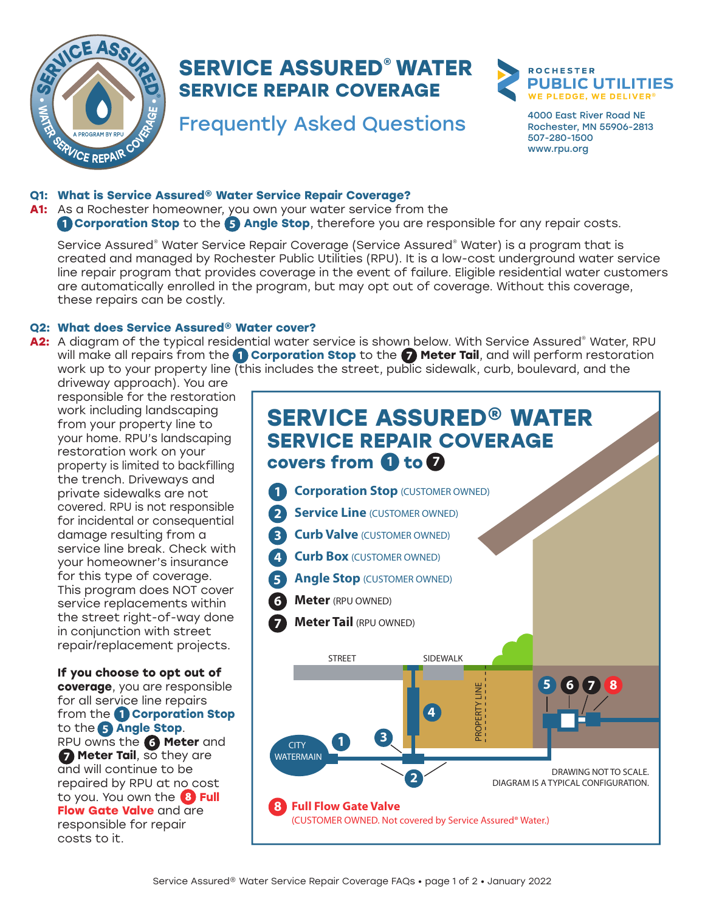

## **SERVICE ASSURED® WATER SERVICE REPAIR COVERAGE**

# Frequently Asked Questions 4000 East River Road NE



Rochester, MN 55906-2813 507-280-1500 www.rpu.org

## **Q1: What is Service Assured® Water Service Repair Coverage?**

#### **A1:** As a Rochester homeowner, you own your water service from the (1) **Corporation Stop** to the (5) **Angle Stop**, therefore you are responsible for any repair costs.

Service Assured® Water Service Repair Coverage (Service Assured® Water) is a program that is created and managed by Rochester Public Utilities (RPU). It is a low-cost underground water service line repair program that provides coverage in the event of failure. Eligible residential water customers are automatically enrolled in the program, but may opt out of coverage. Without this coverage, these repairs can be costly.

## **Q2: What does Service Assured® Water cover?**

A2: A diagram of the typical residential water service is shown below. With Service Assured® Water, RPU will make all repairs from the 1 **Corporation Stop** to the 7 **Meter Tail**, and will perform restoration work up to your property line (this includes the street, public sidewalk, curb, boulevard, and the

driveway approach). You are responsible for the restoration work including landscaping from your property line to your home. RPU's landscaping restoration work on your property is limited to backfilling the trench. Driveways and private sidewalks are not covered. RPU is not responsible for incidental or consequential damage resulting from a service line break. Check with your homeowner's insurance for this type of coverage. This program does NOT cover service replacements within the street right-of-way done in conjunction with street repair/replacement projects.

**If you choose to opt out of coverage**, you are responsible for all service line repairs from the 1 **Corporation Stop**  to the 5 **Angle Stop**. RPU owns the 6 **Meter** and **7 Meter Tail**, so they are and will continue to be repaired by RPU at no cost to you. You own the 8 **Full Flow Gate Valve** and are responsible for repair costs to it.